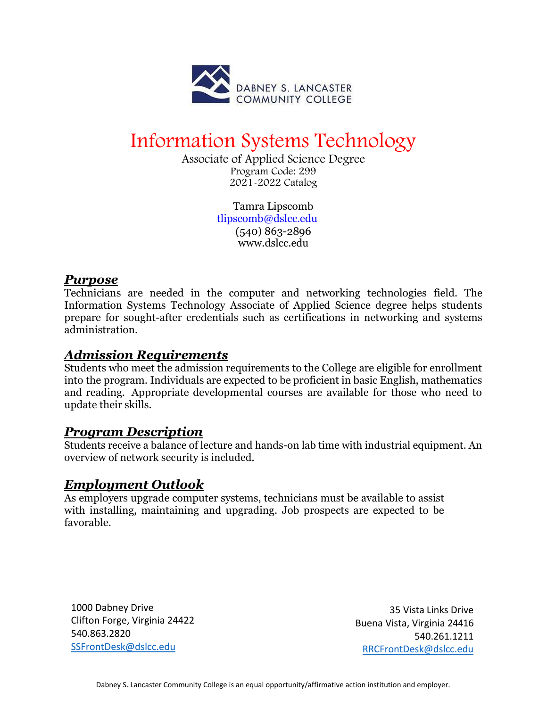

# Information Systems Technology

Associate of Applied Science Degree Program Code: 299 2021-2022 Catalog

> Tamra Lipscomb [tlipscomb@dslcc.edu](mailto:tlipscomb@dslcc.edu) (540) 863-2896 [www.dslcc.edu](http://www.dslcc.edu/)

#### *Purpose*

Technicians are needed in the computer and networking technologies field. The Information Systems Technology Associate of Applied Science degree helps students prepare for sought-after credentials such as certifications in networking and systems administration.

## *Admission Requirements*

Students who meet the admission requirements to the College are eligible for enrollment into the program. Individuals are expected to be proficient in basic English, mathematics and reading. Appropriate developmental courses are available for those who need to update their skills.

## *Program Description*

Students receive a balance of lecture and hands-on lab time with industrial equipment. An overview of network security is included.

## *Employment Outlook*

As employers upgrade computer systems, technicians must be available to assist with installing, maintaining and upgrading. Job prospects are expected to be favorable.

1000 Dabney Drive Clifton Forge, Virginia 24422 540.863.2820 [SSFrontDesk@dslcc.edu](mailto:SSFrontDesk@dslcc.edu)

35 Vista Links Drive Buena Vista, Virginia 24416 540.261.1211 [RRCFrontDesk@dslcc.edu](mailto:RRCFrontDesk@dslcc.edu)